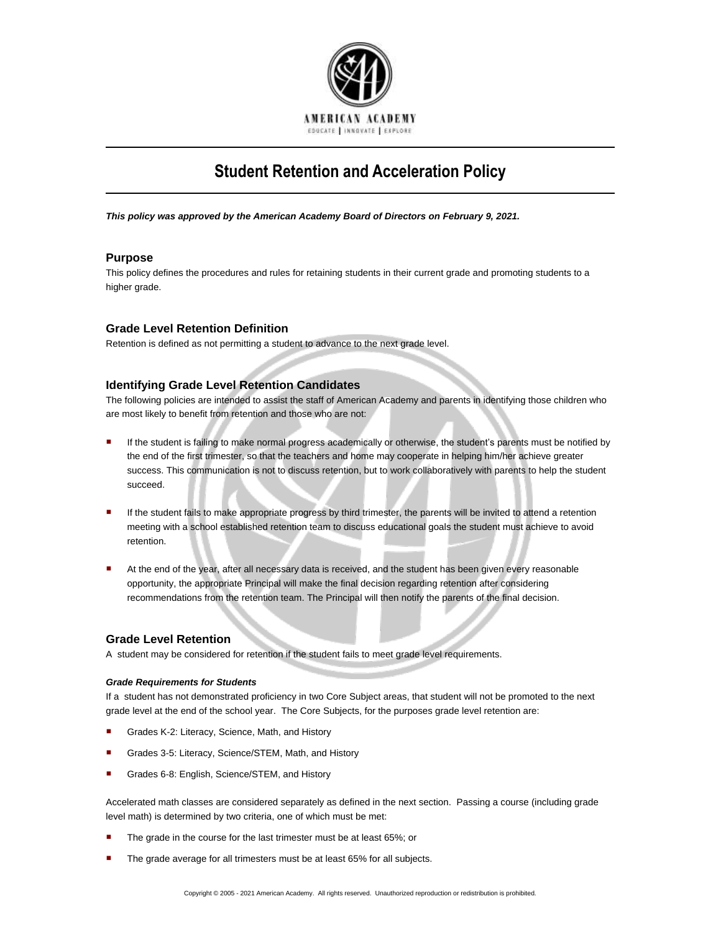

# **Student Retention and Acceleration Policy**

*This policy was approved by the American Academy Board of Directors on February 9, 2021.*

# **Purpose**

This policy defines the procedures and rules for retaining students in their current grade and promoting students to a higher grade.

# **Grade Level Retention Definition**

Retention is defined as not permitting a student to advance to the next grade level.

## **Identifying Grade Level Retention Candidates**

The following policies are intended to assist the staff of American Academy and parents in identifying those children who are most likely to benefit from retention and those who are not:

- If the student is failing to make normal progress academically or otherwise, the student's parents must be notified by the end of the first trimester, so that the teachers and home may cooperate in helping him/her achieve greater success. This communication is not to discuss retention, but to work collaboratively with parents to help the student succeed.
- If the student fails to make appropriate progress by third trimester, the parents will be invited to attend a retention meeting with a school established retention team to discuss educational goals the student must achieve to avoid retention.
- At the end of the year, after all necessary data is received, and the student has been given every reasonable opportunity, the appropriate Principal will make the final decision regarding retention after considering recommendations from the retention team. The Principal will then notify the parents of the final decision.

### **Grade Level Retention**

A student may be considered for retention if the student fails to meet grade level requirements.

#### *Grade Requirements for Students*

If a student has not demonstrated proficiency in two Core Subject areas, that student will not be promoted to the next grade level at the end of the school year. The Core Subjects, for the purposes grade level retention are:

- Grades K-2: Literacy, Science, Math, and History
- Grades 3-5: Literacy, Science/STEM, Math, and History
- Grades 6-8: English, Science/STEM, and History

Accelerated math classes are considered separately as defined in the next section. Passing a course (including grade level math) is determined by two criteria, one of which must be met:

- The grade in the course for the last trimester must be at least 65%; or
- **The grade average for all trimesters must be at least 65% for all subjects.**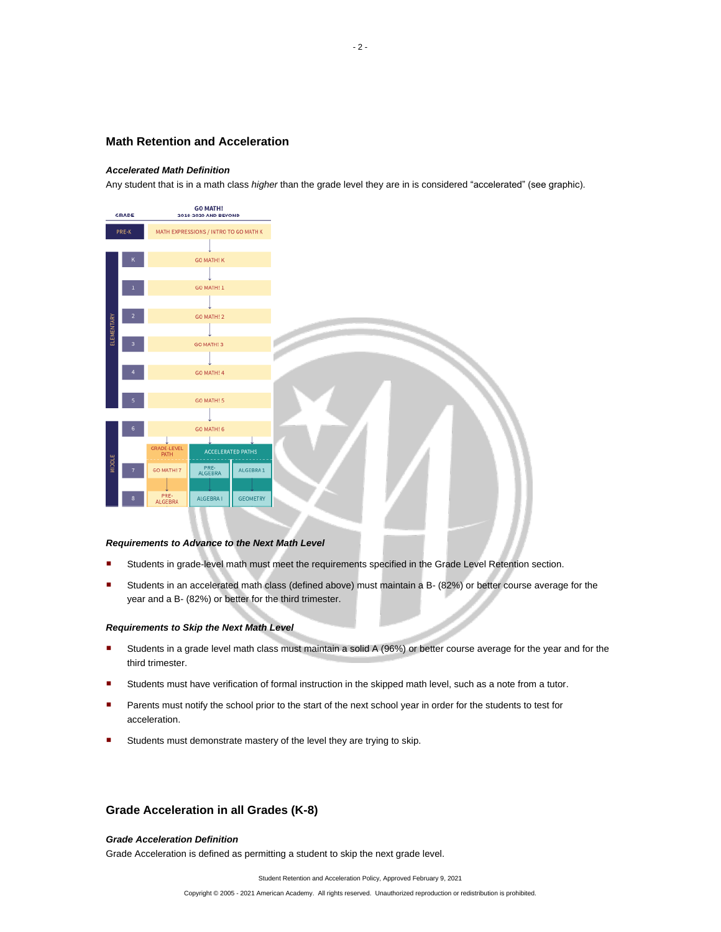# **Math Retention and Acceleration**

#### *Accelerated Math Definition*

Any student that is in a math class *higher* than the grade level they are in is considered "accelerated" (see graphic).



#### *Requirements to Advance to the Next Math Level*

- Students in grade-level math must meet the requirements specified in the Grade Level Retention section.
- Students in an accelerated math class (defined above) must maintain a B- (82%) or better course average for the year and a B- (82%) or better for the third trimester.

#### *Requirements to Skip the Next Math Level*

- Students in a grade level math class must maintain a solid A (96%) or better course average for the year and for the third trimester.
- Students must have verification of formal instruction in the skipped math level, such as a note from a tutor.
- Parents must notify the school prior to the start of the next school year in order for the students to test for acceleration.
- **Students must demonstrate mastery of the level they are trying to skip.**

# **Grade Acceleration in all Grades (K-8)**

#### *Grade Acceleration Definition*

Grade Acceleration is defined as permitting a student to skip the next grade level.

Student Retention and Acceleration Policy, Approved February 9, 2021